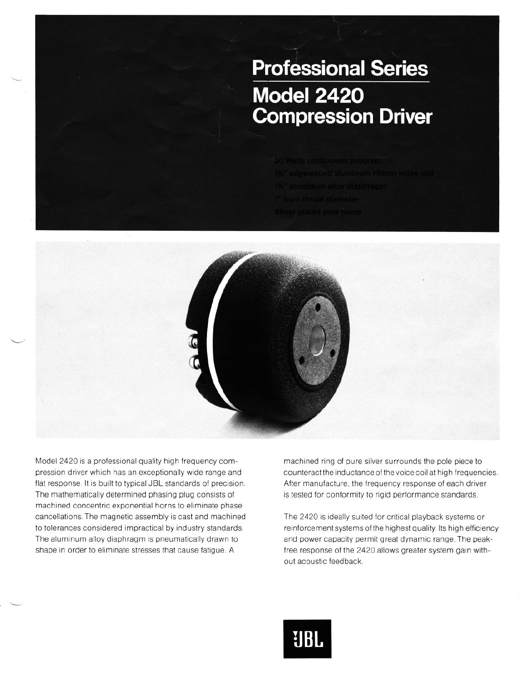## **Professional Series Model 2420 Compression Driver**



Model 2420 is a professional quality high frequency compression driver which has an exceptionally wide range and flat response. It is built to typical JBL standards of precision. The mathematically determined phasing plug consists of machined concentric exponential horns to eliminate phase cancellations. The magnetic assembly is cast and machined to tolerances considered impractical by industry standards. The aluminum alloy diaphragm is pneumatically drawn to shape in order to eliminate stresses that cause fatigue. A

machined ring of pure silver surrounds the pole piece to counteract the inductance of the voice coil at high frequencies. After manufacture, the frequency response of each driver is tested for conformity to rigid performance standards.

The 2420 is ideally suited for critical playback systems or reinforcement systems of the highest quality. Its high efficiency and power capacity permit great dynamic range. The peakfree response of the 2420 allows greater system gain without acoustic feedback.